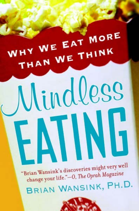# WHY WE EAT MORE THAN WE THINK Uindless

"Brian Wansink's discoveries might very well change your life."-O, The Oprah Magazine BRIAN WANSINK, PH.D.

IIN

IF.

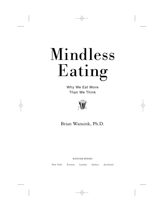# Mindless Eating

Why We Eat More Than We Think



Brian Wansink, Ph.D.

BANTAM BOOKS

New York Toronto London Sydney Auckland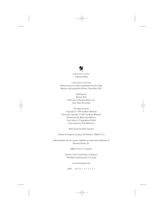mindless eating A Bantam Book

publishing history Bantam hardcover edition published October 2006 Bantam trade paperback edition / September 2007

> Published by Bantam Dell A Division of Random House, Inc. New York, New York

All rights reserved. Copyright © 2006 by Brian Wansink Postscript copyright © 2007 by Brian Wansink Illustrations by Mary Lynn Blasutta Cover photo © Copperphoto/Corbis Cover design by Tom McKeveny

Book design by Ellen Cipriano

Library of Congress Catalog Card Number: 2006047532

Bantam Books and the rooster colophon are registered trademarks of Random House, Inc.

ISBN 978-0-553-38448-2

Printed in the United States of America Published simultaneously in Canada

www.bantamdell.com

BVG 10 9 8 7 6 5 4 3 2 1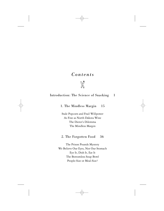# *C o n t e n t s*



# Introduction: The Science of Snacking 1

# 1. The Mindless Margin 15

Stale Popcorn and Frail Willpower As Fine as North Dakota Wine The Dieter's Dilemma The Mindless Margin

# 2. The Forgotten Food 36

The Prison Pounds Mystery We Believe Our Eyes, Not Our Stomach Eye It, Dish It, Eat It The Bottomless Soup Bowl People-Size or Meal-Size?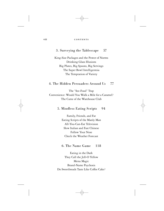#### viii **cONTENTS**

# 3. Surveying the Tablescape 57

King-Size Packages and the Power of Norms Drinking Glass Illusions Big Plates, Big Spoons, Big Servings The Super Bowl Intelligentsia The Temptation of Variety

# 4. The Hidden Persuaders Around Us 77

The "See-Food" Trap Convenience: Would You Walk a Mile for a Caramel? The Curse of the Warehouse Club

# 5. Mindless Eating Scripts 94

Family, Friends, and Fat Eating Scripts of the Manly Man All-You-Can-Eat Television Slow Italian and Fast Chinese Follow Your Nose Check the Weather Forecast

# 6. The Name Game 118

Eating in the Dark They Call the Jell-O Yellow Menu Magic Brand-Name Psychosis Do Sweetbreads Taste Like Coffee Cake?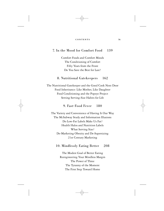#### **c o n t e n t s ix**

# 7. In the Mood for Comfort Food 139

Comfort Foods and Comfort Moods The Conditioning of Comfort Fifty Years from the Front Do You Save the Best for Last?

# 8. Nutritional Gatekeepers 162

The Nutritional Gatekeeper and the Good Cook Next Door Food Inheritance: Like Mother, Like Daughter Food Conditioning and the Popeye Project Setting Serving-Size Habits for Life

# 9. Fast-Food Fever 180

The Variety and Convenience of Having It Our Way The McSubway Study and Information Illusions Do Low-Fat Labels Make Us Fat? Health Halos and Nutrition Labels What Serving Size? De-Marketing Obesity and De-Supersizing 21st Century Marketing

# 10. Mindlessly Eating Better 208

The Modest Goal of Better Eating Reengineering Your Mindless Margin The Power of Three The Tyranny of the Moment The First Step Toward Home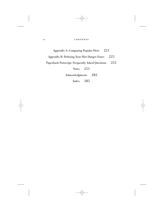# **x c c o n r e n r s**

Appendix A: Comparing Popular Diets 221 Appendix B: Defusing Your Diet Danger Zones 225 Paperback Postscript: Frequently Asked Questions 235 Notes 251 Acknowledgments 282

Index 285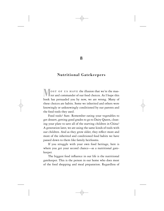# 8

# Nutritional Gatekeepers

OST OF US HAVE the illusion that we're the master and commander of our food choices. As I hope this book has persuaded you by now, we are wrong. Many of these choices are habits. Some we inherited and others were knowingly or unknowingly conditioned by our parents and the food tools they used.

Food tools? Sure. Remember eating your vegetables to get dessert, getting good grades to go to Dairy Queen, cleaning your plate to save all of the starving children in China? A generation later, we are using the same kinds of tools with our children. And as they grow older, they reflect more and more of the inherited and conditioned food habits we have passed down to them like family heirlooms.

If you struggle with your own food heritage, here is where you get your second chance—as a nutritional gatekeeper.

The biggest food influence in our life is the nutritional gatekeeper. This is the person in our home who does most of the food shopping and meal preparation. Regardless of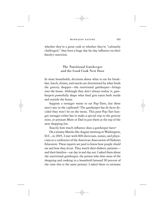whether they're a great cook or whether they're "culinarily challenged," they have a huge day-by-day influence on their family's nutrition.

# The Nutritional Gatekeeper and the Good Cook Next Door

In most households, decisions about what to eat for breakfast, lunch, dinner, and snacks are determined by what foods the grocery shopper—the nutritional gatekeeper—brings into the house. Although they don't always realize it, gatekeepers powerfully shape what food gets eaten both inside and outside the house.

Suppose a teenager wants to eat Pop-Tarts, but there aren't any in the cupboard? The gatekeeper has de facto decided they won't be on the menu. This poor Pop-Tart hungry teenager either has to make a special trip to the grocery store, or pressure Mom or Dad to put them at the top of the next shopping list.

Exactly how much influence does a gatekeeper have?

On asteamy Manila-like August morning in Washington, D.C., in 2005, I met with 800 dieticians, nurses, and physicians at a conference of the American Association of Diabetes Educators. These experts are paid to know how people *should* eat and how they *do* eat. They watch their diabetic patients and their families—eat day in and day out. I asked them about the nutritional gatekeeper, the person who does most of the shopping and cooking in a household (around 90 percent of the time this is the same person). I asked them to estimate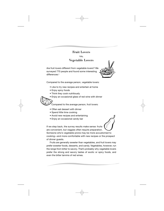# Fruit Lovers

# vs. Vegetable Lovers

Are fruit lovers different from vegetable lovers? We surveyed 770 people and found some interesting differences:<sup>1</sup>



Compared to the average person, vegetable lovers:

- Like to try new recipes and entertain at home
- Enjoy spicy foods
- Think they cook nutritiously
- Enjoy an occasional glass of red wine with dinner

Compared to the average person, fruit lovers:

- Often eat dessert with dinner
- Spend little time cooking
- Avoid new recipes and entertaining
- Enjoy an occasional candy bar

If we step back, the survey results make sense: fruits are convenient, but veggies often require preparation. Someone who's vegetable-prone may be more accustomed to cooking—and more comfortable with new recipes or the prospect of dinner guests.

Fruits are generally sweeter than vegetables, and fruit lovers may prefer sweeter foods, desserts, and candy. Vegetables, however, run the range from bitter to savory. That's probably why vegetable lovers prefer the strong and savory tastes of exotic or spicy foods, and even the bitter tannins of red wines.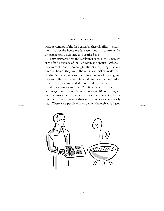#### **m INDLESS EATING** 165

what percentage of the food eaten by these families—snacks, meals, out-of-the-house meals, everything—is controlled by the gatekeeper. Their answers surprised me.

They estimated that the gatekeeper controlled 72 percent of the food decisions of their children and spouse.2 After all, they were the ones who bought almost everything that was eaten at home, they were the ones who either made their children's lunches or gave them lunch or snack money, and they were the ones who influenced family restaurant orders by what they recommended or ordered themselves.

We have since asked over 2,500 parents to estimate this percentage. Some were 10 points lower or 10 points higher, but the answer was always in the same range. Only one group stood out, because their estimates were consistently high. These were people who also rated themselves as "good

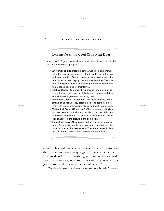#### 166 **NUTRITIONAL GATEKEEPERS**

# Lessons from the Good Cook Next Door

A study of 317 good cooks showed that most of them tend to fall into one of five basic groups:3

- Giving Cooks (22 percent). Friendly, well-liked, and enthusiastic, they specialize in comfort foods for family gatherings and large parties. Giving cooks seldom experiment with new dishes, instead relying on traditional favorites. The only fault of the giving cook is that they tend to provide too many home-baked goodies for their family.
- Healthy Cooks (20 percent). Optimistic, book-loving, nature enthusiasts who are most likely to experiment with fish and with fresh ingredients, including herbs.
- Innovative Cooks (19 percent). The most creative, trendsetting of all cooks. They seldom use recipes; they experiment with ingredients, cuisine styles, and cooking methods.
- Methodical Cooks (18 percent). Often weekend hobbyists who are talented, but who rely heavily on recipes. Although somewhat inefficient in the kitchen, their creations always look exactly like the picture in the cookbook.
- Competitive Cooks (13 percent). The Iron Chef of the neighborhood. Competitive cooks are dominant personalities who cook in order to impress others. These are perfectionists who are intense in both their cooking and entertaining.

cooks." This made some sense. It was in line with a study we did that showed that many veggie lovers claimed either to be a good cook, to live with a good cook, or to have had a parent who was a good cook.<sup>4</sup> But exactly who were these good cooks, and why were they so influential?

We decided to track down the mysterious North American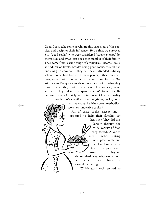Good Cook, take some psychographic snapshots of the species, and decipher their influence. To do this, we surveyed 317 "good cooks" who were considered "above average" by themselves and by at least one other member of their family. They came from a wide range of ethnicities, income levels, and education levels. Besides being good cooks, they all had one thing in common—they had never attended culinary school. Some had learned from a parent, others on their own; some cooked out of necessity, and some for fun. We asked them 152 questions about how they cooked, what they cooked, when they cooked, what kind of person they were, and what they did in their spare time. We found that 82 percent of them fit fairly neatly into one of five personality

profiles. We classified them as giving cooks, competitive cooks, healthy cooks, methodical cooks, or innovative cooks.5

> All of these cooks—except one appeared to help their families eat

healthier. They did this largely through the wide variety of food they served. A varied menu makes eating more pleasurable and can lead family members to expand their tastes beyond the standard fatty, salty, sweet foods for which we have a natural hankering.

Which good cook seemed to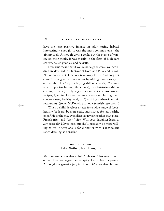#### 168 **n u r r i r o n a** *c a* **<b>T E***k* **EPER s**

have the least positive impact on adult eating habits? Interestingly enough, it was the most common one—the giving cook. Although giving cooks put the stamp of variety on their meals, it was mostly in the form of high-carb entrées, baked goodies, and desserts.

Does this mean that if you're not a good cook, your children are destined to a lifetime of Domino's Pizza and Fritos? No, of course not. One key take-away for us "not so great cooks" is the good we *can* do just by adding more variety to our meals. How? By 1) buying different foods, 2) trying new recipes (including ethnic ones), 3) substituting different ingredients (mainly vegetables and spices) into favorite recipes, 4) taking kids to the grocery store and letting them choose a new, healthy food, or 5) visiting authentic ethnic restaurants. (Sorry, McDonald's is not a Scottish restaurant.)

When a child develops a taste for a wide range of foods, healthy foods can be more easily substituted for less healthy ones.6 He or she may even discover favorites other than pizza, French fries, and Juicy Juice. Will your daughter learn to *love* broccoli? Maybe not, but she'll probably be more willing to eat it occasionally for dinner or with a low-calorie ranch dressing as a snack.7

# Food Inheritance: Like Mother, Like Daughter

We sometimes hear that a child "inherited" his sweet tooth, or her love for vegetables or spicy foods, from a parent. Although the genetics jury is still out, it's clear that children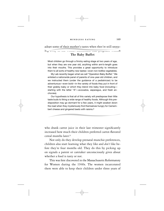#### **m INDLESS EATING** 169

adopt some of their mother's tastes when they're still snooz-.<br>1115 away in the womb. Remember that pregnant womell

# The Baby Buffet

Most children go through a finicky eating stage at two years of age, but when they are one year old, anything within arm's-length goes into their mouths. This provides a great opportunity to introduce them to all sorts of healthy new tastes—even non-kidlike vegetables.

My Lab recently began what we call "Operation Baby Buffet." We enlisted a nationwide panel of parents of one-year-old children, and we instructed them (under the guidance of a pediatrician) to be adventurous—even bold—in the variety of foods they put in front of their grabby baby or which they blend into baby food (including starting with the letter "A"—avocados, asparagus, and fresh anchovies).

Our hypothesis is that all of this variety will predispose their little taste buds to liking a wide range of healthy foods. Although this predisposition may go dormant for a few years, it might awaken down the road when they mysteriously find themselves hungry for Camembert cheese and gingered beets with raisins.<sup>8</sup>

who drank carrot juice in their last trimester significantly increased how much their children preferred carrot-flavored cereal months later.9

Not only do they develop prenatal munchie preferences, children also start learning what they like and *don't* like before they're four months old. They do this by picking up on signals a parent or caretaker unconsciously gives about whether a food is tasty or not.

This was first discovered in the Massachusetts Reformatory for Women during the 1940s. The women incarcerated there were able to keep their children under three years of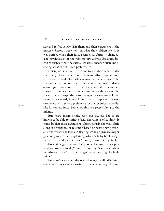#### 170 **NUTRITIONAL GATEKEEPERS**

age and to frequently visit them and their caretakers in the nursery. Records were kept on what the children ate, so it was noticed when their juice preferences abruptly changed. The psychologist at the reformatory, Sibylle Escalona, began to suspect that the caretakers were unconsciously influencing what the children preferred.10

Her report starts out, "It came to attention accidentally that many of the babies under four months of age showed a consistent dislike for either orange or tomato juice." She then went on to report that babies who had refused to drink orange juice for about three weeks would all of a sudden turn into orange-juice lovers within two or three days. She traced these abrupt shifts to changes in caretakers. Upon being interviewed, it was found that a couple of the new caretakers had a strong preference for orange juice and a dislike for tomato juice. Somehow this was passed along to the infants.

But how? Interestingly, even two-day-old babies are known to be able to imitate facial expressions of adults.11 It could be that these caretakers subconsciously showed subtle signs of acceptance or rejection based on what they personally felt toward the foods. A fleeting smile or grimace might go a long way toward explaining why one baby has Daddy's sweet tooth and another has Mommy's love for vegetables. It also makes good sense that people feeding babies pretend to taste the food (Mmm . . . yummy!") and open their mouths and play "airplane hangar" when feeding the little tykes.12

Escalona's accidental discovery has aged well. Watching someone grimace when eating scares elementary children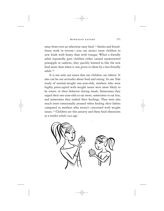away from even an otherwise tasty food.13 Smiles and friendliness work in reverse—you can attract more children to new foods with honey than with vinegar. When a friendly adult repeatedly gave children either canned unsweetened pineapple or cashews, they quickly learned to like the new food more than when it was given to them by a less friendly adult.14

It is not only our tastes that our children can inherit. It also can be our attitudes about food and eating. In one Yale study of normal-weight one-year-olds, mothers who were highly preoccupied with weight issues were more likely to be erratic in their behavior during meals. Sometimes they urged their one-year-olds to eat more, sometimes to eat less, and sometimes they rushed their feedings. They were also much more emotionally aroused when feeding their babies compared to mothers who weren't concerned with weight issues.15 Children see this anxiety and these food obsessions at a tender *tabula rasa* age.

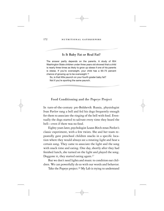#### 172 **NUTRITIONAL GATEKEEPERS**

# Is It Baby Fat or Real Fat?

The answer partly depends on the parents. A study of 854 Washington State children under three years old showed that a child is nearly three times as likely to grow up obese if one of his parents is obese. If you're overweight, your child has a 65–75 percent chance of growing up to be overweight.16

So, is that little paunch on your fourth grader baby fat? Not if you're sporting the same paunch.

## Food Conditioning and the Popeye Project

In turn-of-the-century pre-Bolshevik Russia, physiologist Ivan Pavlov rang a bell and fed his dogs frequently enough for them to associate the ringing of the bell with food. Eventually the dogs started to salivate every time they heard the bell—even if there was no food.

Eighty years later, psychologist Leann Birch reran Pavlov's classic experiment, with a few twists. She and her team repeatedly gave preschool children snacks in a specific location where they would always see a rotating light and hear a certain song. They came to associate the light and the song with snack time and eating. One day, shortly after they had finished lunch, she turned on the light and played the song. Doggone it, they started eating again.17

But we don't need lights and music to condition our children. We can powerfully do so with our words and behavior.

Take the Popeye project.<sup>18</sup> My Lab is trying to understand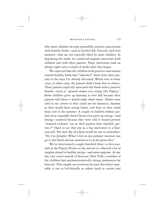why some children develop powerfully positive associations with healthy foods—such as broiled fish, broccoli, and even seaweed—that are not typically liked by most children. In beginning this work, we conducted separate interviews with children and with their parents. These interviews took an abrupt right turn a couple of weeks after they began.

We expected that the children with positive associations toward healthy foods had "inherited" them from their parents in the ways I've already discussed. While true in many cases, in other cases, the parents didn't leave this to chance. These parents explicitly associated the foods with a positive benefit—such as "spinach makes you strong like Popeye." Some children grew up learning to love fish because their parents told them it would make them smart. Others were told to eat carrots so they could see far distances, bananas so they would have strong bones, and fruit so they could keep cool in the summer. A couple of children (whose parents were originally from China) even grew up eating—and loving—seaweed because they were told it would prevent "stomach sickness" (or, as their parents later clarified, goiters.)19 Hard to see that one as a big motivator to a fouryear-old. The first day of school would be one to remember: "Hi, I'm Jennifer. What I did on my summer vacation was go to the beach and eat seaweed so I can be goiter-free."

We've interviewed a couple hundred three- to five-yearolds in the Popeye Project so far, and we've collected a lot of insights related to healthy eating—and some surprises. At one day-care center outside of Syracuse, New York, a number of the children had uncharacteristically strong preferences for broccoli. This caught our attention because this bitter vegetable is not as kid-friendly as others (such as carrots and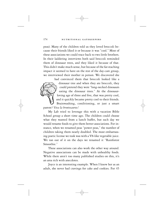#### 174 **NUTRITIONAL GATEKEEPERS**

peas). Many of the children told us they loved broccoli because their friends liked it or because it was "cool." Most of these associations we could trace back to two little brothers. In their laddering interviews both said broccoli reminded them of dinosaur trees, and they liked it because of that. This didn't make much sense, but because of the far-reaching impact it seemed to have on the rest of the day-care group, we interviewed their mother in person. We discovered she



had convinced them that broccoli looked like a dinosaur tree and when they ate broccoli, they could pretend they were "long-necked dinosaurs eating the dinosaur trees." At the dinosaurloving age of three and five, that was pretty cool, and it quickly became pretty cool to their friends.

Brainwashing, conditioning, or just a smart parent? *Viva la brontosaurus!*

My Lab tried to leverage this with a vacation Bible School group a short time ago. The children could choose what they wanted from a lunch buffet, but each day we would rename foods to give them better associations. For instance, when we renamed peas "power peas," the number of children taking them nearly doubled. The most embarrassing poetic license we took was with a V8-like vegetable juice. We ran out of it on the days we renamed it "Rainforest Smoothie."

These associations can also work the other way around. Negative associations can be made with unhealthy foods. While there aren't too many published studies on this, it's an area rich with anecdotes.

Joyce is an interesting example. When I knew her as an adult, she never had cravings for cake and cookies. For 45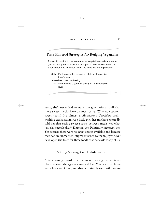# Time-Honored Strategies for Dodging Vegetables

Today's kids stick to the same classic vegetable-avoidance strategies as their parents used. According to a 1999 Market Facts, Inc., study conducted for Green Giant, the three top strategies are:20

40%—Push vegetables around on plate so it looks like there's less

16%—Feed them to the dog

12%—Give them to a younger sibling or to a vegetable lover

years, she's never had to fight the gravitational pull that these sweet snacks have on most of us. Why no apparent sweet tooth? It's almost a *Manchurian Candidate* brainwashing explanation. As a little girl, her mother repeatedly told her that eating sweet snacks between meals was what low-class people did.21 Extreme, yes. Politically incorrect, yes. Yet because there were no sweet snacks available and because they had an (unmerited) stigma attached to them, Joyce never developed the taste for these foods that bedevils many of us.

## Setting Serving-Size Habits for Life

A fat-forming transformation in our eating habits takes place between the ages of three and five. You can give threeyear-olds a lot of food, and they will simply eat until they are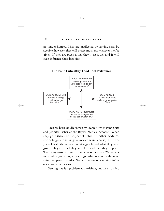### 176 **n u r r i r o n a** *c <b>a T EKEPER s*

no longer hungry. They are unaffected by serving size. By age five, however, they will pretty much eat whatever they're given. If they are given a lot, they'll eat a lot, and it will even influence their bite size.



The Four Unhealthy Food-Tool Extremes

This has been vividly shown by Leann Birch at Penn State and Jennifer Fisher at the Baylor Medical School.<sup>22</sup> When they gave three- or five-year-old children either mediumsize or large-size servings of macaroni and cheese, the threeyear-olds ate the same amount regardless of what they were given. They ate until they were full, and then they stopped. The five-year-olds rose to the occasion and ate 26 percent more when given bigger servings. Almost exactly the same thing happens to adults. We let the size of a serving influence how much we eat.

Serving size is a problem at mealtime, but it's also a big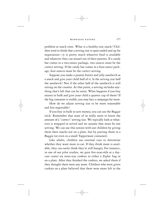problem at snack time. What is a healthy-size snack? Children tend to think that a serving size is open-ended and up for negotiation—it is pretty much whatever food is available and whatever they can weasel out of their parents. If a candy bar comes in a two-ounce package, two ounces must be the correct serving. If the candy bar comes in a four-ounce package, four ounces must be the correct serving.

Suppose you make a peanut butter and jelly sandwich as a snack and give your child half of it. Is the serving size half the sandwich? Not if the other half of the sandwich is still sitting on the counter. At that point, a serving includes anything that's left that can be eaten. What happens if you buy raisins in bulk and give your child a quarter cup of them? If the big container is visible, you may face a campaign for more.

How do we adjust serving size to be more reasonable and less negotiable?

If you buy in bulk to save money, you can use the Baggie trick. Remember that none of us really seem to know the amount of a "correct" serving size. We typically look at whatever is wrapped or served and we assume that must be one serving. We can use this notion with our children by giving them their snacks not on a plate, but by putting them in a Baggie (or even in a small Tupperware container).

Like adults, children use external cues to determine whether they want more to eat. If they think more is available, they can easily think they're still hungry. For instance, in one of our pilot studies, we gave five-year-olds at a daycare center six mini-size cookies in either a Ziploc bag or on a plate. After they finished the cookies, we asked them if they thought there were any more. Children who were given cookies on a plate believed that there were more left in the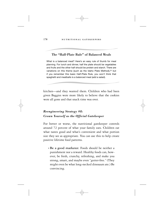178 **NUTRITIONAL GATEKEEPERS** 

# The "Half-Plate Rule" of Balanced Meals

What is a balanced meal? Here's an easy rule of thumb for meal planning. For lunch and dinner, half the plate should be vegetables and fruits and the other half should be protein and starch. There are variations on this theme (such as the Idaho Plate Method),<sup>23</sup> but if you remember this basic Half-Plate Rule, you won't think that spaghetti and meatballs is a balanced meal (add a salad).

kitchen—and they wanted them. Children who had been given Baggies were more likely to believe that the cookies were all gone and that snack time was over.

# *Reengineering Strategy #8: Crown Yourself as the Official Gatekeeper*

For better or worse, the nutritional gatekeeper controls around 72 percent of what your family eats. Children eat what tastes good and what's convenient and what portion size they see as appropriate. You can use this to help create positive lifetime food patterns.

• **Be a good marketer.** Foods should be neither a punishment nor a reward. Healthy foods can, however, be fresh, crunchy, refreshing, and make you strong, smart, and maybe even "goiter-free." (They might even be what long-necked dinosaurs ate.) Be convincing.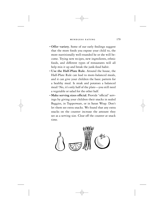- **Offer variety.** Some of our early findings suggest that the more foods you expose your child to, the more nutritionally well-rounded he or she will become. Trying new recipes, new ingredients, ethnic foods, and different types of restaurants will all help mix it up and break the junk-food habit.
- **Use the Half-Plate Rule.** Around the house, the Half-Plate Rule can lead to more-balanced meals, and it can give your children the basic pattern for a healthy meal. Is steak and potatoes a balanced meal? No, it's only half of the plate—you still need a vegetable or salad for the other half.
- **Make serving sizes official.** Provide "official" servings by giving your children their snacks in sealed Baggies, in Tupperware, or in Saran Wrap. Don't let them see extra snacks. We found that any extra snacks on the counter increase the amount they see as a serving size. Clear off the counter at snack time.

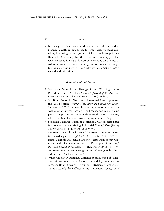#### **272 n o t e s**

12. In reality, the fact that a study comes out differently than planned is nothing new to us. In some cases, we make mistakes, like using tube-clogging chicken noodle soup in our Refillable Bowl study. In other cases, accidents happen, like when someone knocks a \$1,400 wireless scale off a table. In still other contexts, our study design is just not clever enough to give us a clear answer. That's why we do so many things a second and third time.

### *8. Nutritional Gatekeepers*

- 1. See Brian Wansink and Keong-mi Lee, "Cooking Habits Provide a Key to 5 a Day Success," *Journal of the American Dietetic Assocation* 104:11 (November 2004): 1648–50.
- 2. See Brian Wansink, "Focus on Nutritional Gatekeepers and the 72% Solution," *Journal of the American Dietetic Association,* (September 2006), in press. Interestingly, we've repeated this with a lot of different people. Good cooks, non-cooks, young parents, empty nesters, grandmothers, single moms. They vary a little bit, but all end up estimating right around 72 percent.
- 3. See Brian Wansink, "Profiling Nutritional Gatekeepers: Three Methods for Differentiating Influential Cooks," *Food Quality and Preference* 14:4 (June 2003): 289–97.
- 4. See Brian Wansink and Randall Westgren, "Profiling Taste-Motivated Segments," *Appetite* 41:3 (December 2003): 323–27; Brian Wansink and JaeHak Cheong, "Taste Profiles that Correlate with Soy Consumption in Developing Countries," *Pakistan Journal of Nutrition* 1:6 (December 2002): 276–78; and Brian Wansink and Keong-mi Lee, "Cooking Habits Provide a Key to 5 a Day Success."
- 5. When the first Nutritional Gatekeeper study was published, our reviewers wanted us to focus on methodology, not percentages. See Brian Wansink, "Profiling Nutritional Gatekeepers: Three Methods for Differentiating Influential Cooks," *Food*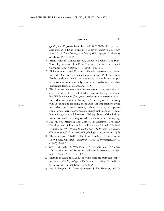#### **n o t e s 273**

*Quality and Preference* 14:4 (June 2003): 289–97. The percentages appear in Brian Wansink, *Marketing Nutrition: Soy, Functional Foods, Biotechnology, and Obesity* (Champaign: University of Illinois Press, 2005).

- 6. Brian Wansink, Ganaël Bascoul,and Gary T. Chen, "The Sweet Tooth Hypothesis: How Fruit Consumption Relates to Snack Consumption," *Appetite,* 47:1 (2006), 107–110.
- 7. Picky eater at home? Take heart. Gentle persistence will be rewarded. One taste doesn't change a person. Professor Leann Birch has shown that it can take up to 15 one-bite attempts, but most children eventually come around to liking more than just french fries, ice cream, and Jell-O.
- 8. This longitudinal study involves control groups, panel diaries, and reliability checks, all of which are too boring for a sidebar. While anchovies (fresh, not cured) might be extreme, rest assured that my daughter, Audrey, isn't the only one in the study who is eating and enjoying them. Also, it's important to avoid foods that could cause choking, such as popcorn, nuts, potato chips, whole-kernel corn, berries, grapes, hot dogs, raw vegetables, raisins, and dry flake cereals. To keep abreast of the findings from this panel study, stay tuned to www.MindlessEating.org.
- 9. See Julie A. Mennella and Gary K. Beauchamp, "The Early Development of Human Flavor Preferences" in ed. Elizabeth D. Capaldi, *Why We Eat What We Eat: The Psychology of Eating* (Washington, D.C.: American Psychological Association, 1996).
- 10. This is a classic: Sibylle K. Escalona, "Feeding Disturbances in Very Young Children," *American Journal of Orthopsychiatry* 15 (1945): 76–80.
- 11. See T. M. Field, R. Woodson, R. Greenberg, and D. Cohen, "Discrimination and Imitation of Facial Expressions by Neonates," *Science* 218 (1982): 179–81.
- 12. Thanks to Alexandra Logue for this example from her inspiring book, *The Psychology of Eating and Drinking,* 3rd edition (New York: Brunner-Routledge, 2005).
- 13. See F. Baeyens, D. Vansteenwegen, J. De Houwer, and G.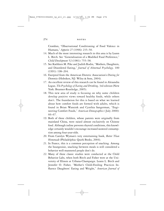#### **274 n o r e s**

Crombex, "Observational Conditioning of Food Valence in Humans," *Appetite* 27 (1996): 235–50.

- 14. Much of the most interesting research in this area is by Leann L. Birch. See "Generalization of a Modified Food Preference," *Child Development* 52 (1981): 755–58.
- 15. See Kathleen M. Pike and Judith Rodin, "Mothers, Daughters, and Disordered Eating," *Journal of Abnormal Psychology,* 100 (1991): 198–204.
- 16. Exerpted from the American Dietetic Association's *Dieting for Dummies* (Hoboken, NJ: Wiley & Sons, 2004).
- 17. An excellent review of this research can be found in Alexandra Logue, *The Psychology of Eating and Drinking,* 3rd edition (New York: Brunner-Routledge, 2005).
- 18. This new area of study is focusing on why some children develop positive views toward healthy foods, while others don't. The foundation for this is based on what we learned about how comfort foods are formed with adults, which is found in Brian Wansink and Cynthia Sangerman, "Engineering Comfort Foods," *American Demographics* (July 2000): 66–67.
- 19. Both of these children, whose parents were originally from mainland China, were raised almost exclusively on Chinese food. Although iodine prevents thyroid conditions, this knowledge certainly wouldn't encourage increased seaweed consumption among four-year-olds.
- 20. From Carolyn Wyman's very entertaining book, *Better Than Homemade* (Philadelphia: Quirk Books, 2004).
- 21. In France, this is a common perception of snacking. Among the bourgeoisie, snacking between meals is still considered a behavior well-mannered people don't do.
- 22. Many of these classic studies were conducted at the Child Behavior Labs, when both Birch and Fisher were at the University of Illinois at Urbana-Champaign. Leann L. Birch and Jennifer O. Fisher, "Mother's Child-Feeding Practices Influence Daughters' Eating and Weight," *American Journal of*